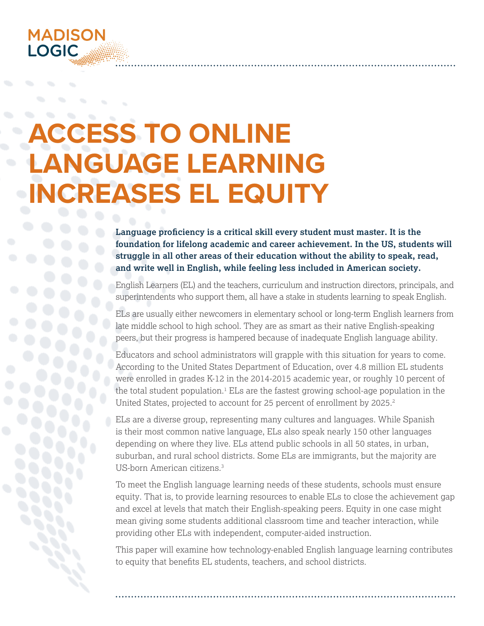

# **ACCESS TO ONLINE LANGUAGE LEARNING INCREASES EL EQUITY**

**Language proficiency is a critical skill every student must master. It is the foundation for lifelong academic and career achievement. In the US, students will struggle in all other areas of their education without the ability to speak, read, and write well in English, while feeling less included in American society.** 

English Learners (EL) and the teachers, curriculum and instruction directors, principals, and superintendents who support them, all have a stake in students learning to speak English.

ELs are usually either newcomers in elementary school or long-term English learners from late middle school to high school. They are as smart as their native English-speaking peers, but their progress is hampered because of inadequate English language ability.

Educators and school administrators will grapple with this situation for years to come. According to the United States Department of Education, over 4.8 million EL students were enrolled in grades K-12 in the 2014-2015 academic year, or roughly 10 percent of the total student population.<sup>1</sup> ELs are the fastest growing school-age population in the United States, projected to account for 25 percent of enrollment by 2025.<sup>2</sup>

ELs are a diverse group, representing many cultures and languages. While Spanish is their most common native language, ELs also speak nearly 150 other languages depending on where they live. ELs attend public schools in all 50 states, in urban, suburban, and rural school districts. Some ELs are immigrants, but the majority are US-born American citizens.3

To meet the English language learning needs of these students, schools must ensure equity. That is, to provide learning resources to enable ELs to close the achievement gap and excel at levels that match their English-speaking peers. Equity in one case might mean giving some students additional classroom time and teacher interaction, while providing other ELs with independent, computer-aided instruction.

This paper will examine how technology-enabled English language learning contributes to equity that benefits EL students, teachers, and school districts.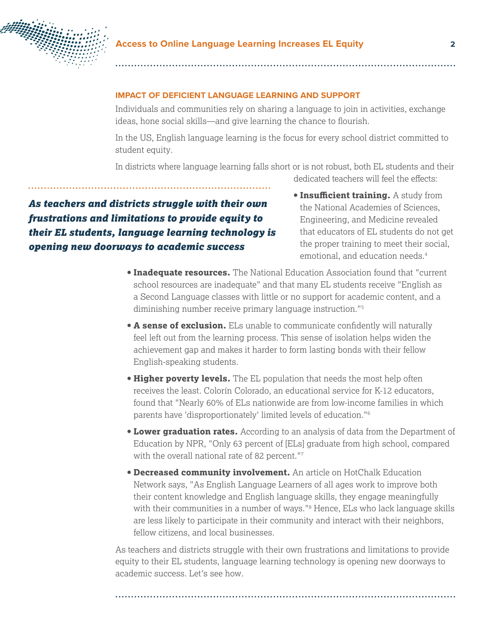

#### **IMPACT OF DEFICIENT LANGUAGE LEARNING AND SUPPORT**

Individuals and communities rely on sharing a language to join in activities, exchange ideas, hone social skills—and give learning the chance to flourish.

In the US, English language learning is the focus for every school district committed to student equity.

In districts where language learning falls short or is not robust, both EL students and their dedicated teachers will feel the effects:

*As teachers and districts struggle with their own frustrations and limitations to provide equity to their EL students, language learning technology is opening new doorways to academic success*

- **Insufficient training.** A study from the National Academies of Sciences, Engineering, and Medicine revealed that educators of EL students do not get the proper training to meet their social, emotional, and education needs.<sup>4</sup>
- **Inadequate resources.** The National Education Association found that "current school resources are inadequate" and that many EL students receive "English as a Second Language classes with little or no support for academic content, and a diminishing number receive primary language instruction."5
- **A sense of exclusion.** ELs unable to communicate confidently will naturally feel left out from the learning process. This sense of isolation helps widen the achievement gap and makes it harder to form lasting bonds with their fellow English-speaking students.
- **Higher poverty levels.** The EL population that needs the most help often receives the least. Colorín Colorado, an educational service for K-12 educators, found that "Nearly 60% of ELs nationwide are from low-income families in which parents have 'disproportionately' limited levels of education."6
- **Lower graduation rates.** According to an analysis of data from the Department of Education by NPR, "Only 63 percent of [ELs] graduate from high school, compared with the overall national rate of 82 percent."7
- **Decreased community involvement.** An article on HotChalk Education Network says, "As English Language Learners of all ages work to improve both their content knowledge and English language skills, they engage meaningfully with their communities in a number of ways."8 Hence, ELs who lack language skills are less likely to participate in their community and interact with their neighbors, fellow citizens, and local businesses.

As teachers and districts struggle with their own frustrations and limitations to provide equity to their EL students, language learning technology is opening new doorways to academic success. Let's see how.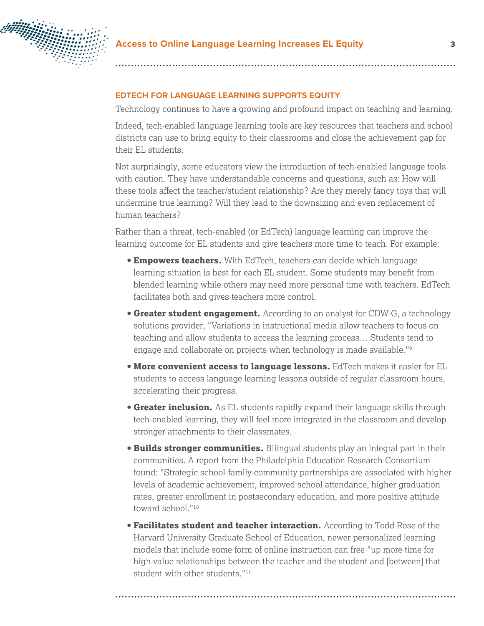

#### **EDTECH FOR LANGUAGE LEARNING SUPPORTS EQUITY**

Technology continues to have a growing and profound impact on teaching and learning.

Indeed, tech-enabled language learning tools are key resources that teachers and school districts can use to bring equity to their classrooms and close the achievement gap for their EL students.

Not surprisingly, some educators view the introduction of tech-enabled language tools with caution. They have understandable concerns and questions, such as: How will these tools affect the teacher/student relationship? Are they merely fancy toys that will undermine true learning? Will they lead to the downsizing and even replacement of human teachers?

Rather than a threat, tech-enabled (or EdTech) language learning can improve the learning outcome for EL students and give teachers more time to teach. For example:

- **Empowers teachers.** With EdTech, teachers can decide which language learning situation is best for each EL student. Some students may benefit from blended learning while others may need more personal time with teachers. EdTech facilitates both and gives teachers more control.
- **Greater student engagement.** According to an analyst for CDW-G, a technology solutions provider, "Variations in instructional media allow teachers to focus on teaching and allow students to access the learning process….Students tend to engage and collaborate on projects when technology is made available."9
- **More convenient access to language lessons.** EdTech makes it easier for EL students to access language learning lessons outside of regular classroom hours, accelerating their progress.
- **Greater inclusion.** As EL students rapidly expand their language skills through tech-enabled learning, they will feel more integrated in the classroom and develop stronger attachments to their classmates.
- **Builds stronger communities.** Bilingual students play an integral part in their communities. A report from the Philadelphia Education Research Consortium found: "Strategic school-family-community partnerships are associated with higher levels of academic achievement, improved school attendance, higher graduation rates, greater enrollment in postsecondary education, and more positive attitude toward school."10
- **Facilitates student and teacher interaction.** According to Todd Rose of the Harvard University Graduate School of Education, newer personalized learning models that include some form of online instruction can free "up more time for high-value relationships between the teacher and the student and [between] that student with other students."<sup>11</sup>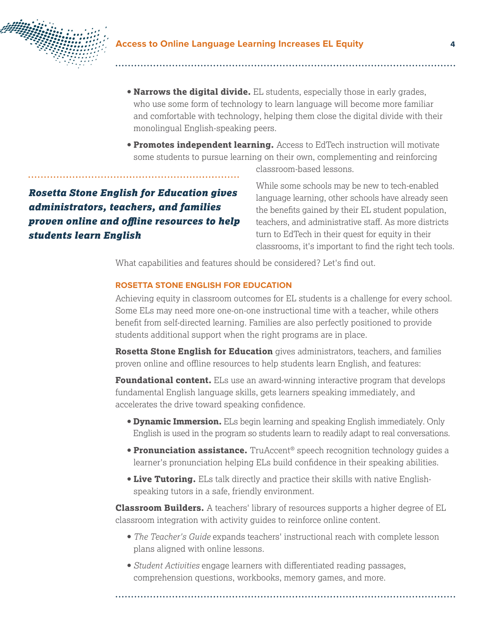

- **Narrows the digital divide.** EL students, especially those in early grades, who use some form of technology to learn language will become more familiar and comfortable with technology, helping them close the digital divide with their monolingual English-speaking peers.
- **Promotes independent learning.** Access to EdTech instruction will motivate some students to pursue learning on their own, complementing and reinforcing

*Rosetta Stone English for Education gives administrators, teachers, and families proven online and offline resources to help students learn English*

classroom-based lessons.

While some schools may be new to tech-enabled language learning, other schools have already seen the benefits gained by their EL student population, teachers, and administrative staff. As more districts turn to EdTech in their quest for equity in their classrooms, it's important to find the right tech tools.

What capabilities and features should be considered? Let's find out.

#### **ROSETTA STONE ENGLISH FOR EDUCATION**

Achieving equity in classroom outcomes for EL students is a challenge for every school. Some ELs may need more one-on-one instructional time with a teacher, while others benefit from self-directed learning. Families are also perfectly positioned to provide students additional support when the right programs are in place.

**Rosetta Stone English for Education** gives administrators, teachers, and families proven online and offline resources to help students learn English, and features:

**Foundational content.** ELs use an award-winning interactive program that develops fundamental English language skills, gets learners speaking immediately, and accelerates the drive toward speaking confidence.

- **Dynamic Immersion.** ELs begin learning and speaking English immediately. Only English is used in the program so students learn to readily adapt to real conversations.
- **Pronunciation assistance.** TruAccent® speech recognition technology guides a learner's pronunciation helping ELs build confidence in their speaking abilities.
- **Live Tutoring.** ELs talk directly and practice their skills with native Englishspeaking tutors in a safe, friendly environment.

**Classroom Builders.** A teachers' library of resources supports a higher degree of EL classroom integration with activity guides to reinforce online content.

- *The Teacher's Guide* expands teachers' instructional reach with complete lesson plans aligned with online lessons.
- *Student Activities* engage learners with differentiated reading passages, comprehension questions, workbooks, memory games, and more.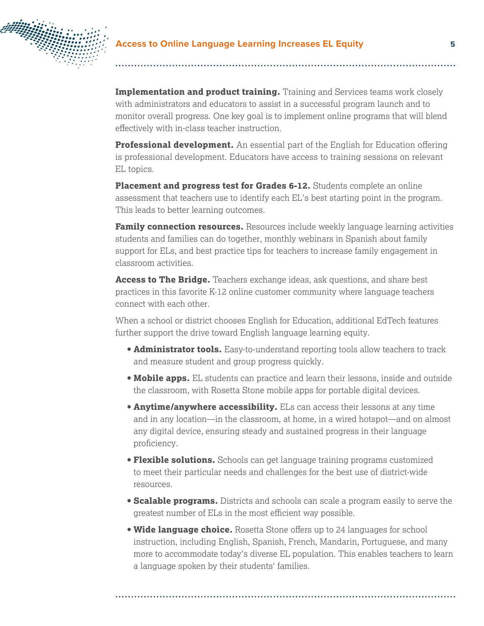

**Implementation and product training.** Training and Services teams work closely with administrators and educators to assist in a successful program launch and to monitor overall progress. One key goal is to implement online programs that will blend effectively with in-class teacher instruction.

**Professional development.** An essential part of the English for Education offering is professional development. Educators have access to training sessions on relevant EL topics.

**Placement and progress test for Grades 6-12.** Students complete an online assessment that teachers use to identify each EL's best starting point in the program. This leads to better learning outcomes.

**Family connection resources.** Resources include weekly language learning activities students and families can do together, monthly webinars in Spanish about family support for ELs, and best practice tips for teachers to increase family engagement in classroom activities.

**Access to The Bridge.** Teachers exchange ideas, ask questions, and share best practices in this favorite K-12 online customer community where language teachers connect with each other.

When a school or district chooses English for Education, additional EdTech features further support the drive toward English language learning equity.

- **Administrator tools.** Easy-to-understand reporting tools allow teachers to track and measure student and group progress quickly.
- **Mobile apps.** EL students can practice and learn their lessons, inside and outside the classroom, with Rosetta Stone mobile apps for portable digital devices.
- **Anytime/anywhere accessibility.** ELs can access their lessons at any time and in any location—in the classroom, at home, in a wired hotspot—and on almost any digital device, ensuring steady and sustained progress in their language proficiency.
- **Flexible solutions.** Schools can get language training programs customized to meet their particular needs and challenges for the best use of district-wide resources.
- **Scalable programs.** Districts and schools can scale a program easily to serve the greatest number of ELs in the most efficient way possible.
- **Wide language choice.** Rosetta Stone offers up to 24 languages for school instruction, including English, Spanish, French, Mandarin, Portuguese, and many more to accommodate today's diverse EL population. This enables teachers to learn a language spoken by their students' families.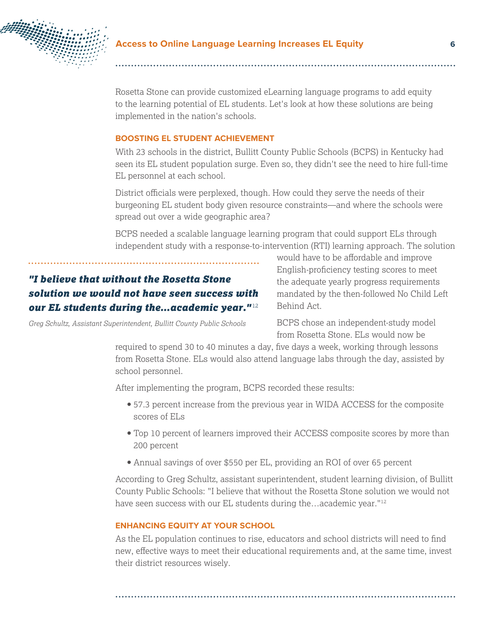

Rosetta Stone can provide customized eLearning language programs to add equity to the learning potential of EL students. Let's look at how these solutions are being implemented in the nation's schools.

#### **BOOSTING EL STUDENT ACHIEVEMENT**

With 23 schools in the district, Bullitt County Public Schools (BCPS) in Kentucky had seen its EL student population surge. Even so, they didn't see the need to hire full-time EL personnel at each school.

District officials were perplexed, though. How could they serve the needs of their burgeoning EL student body given resource constraints—and where the schools were spread out over a wide geographic area?

BCPS needed a scalable language learning program that could support ELs through independent study with a response-to-intervention (RTI) learning approach. The solution

# *"I believe that without the Rosetta Stone solution we would not have seen success with our EL students during the…academic year."* <sup>12</sup>

*Greg Schultz, Assistant Superintendent, Bullitt County Public Schools*

would have to be affordable and improve English-proficiency testing scores to meet the adequate yearly progress requirements mandated by the then-followed No Child Left Behind Act.

BCPS chose an independent-study model from Rosetta Stone. ELs would now be

required to spend 30 to 40 minutes a day, five days a week, working through lessons from Rosetta Stone. ELs would also attend language labs through the day, assisted by school personnel.

After implementing the program, BCPS recorded these results:

- 57.3 percent increase from the previous year in WIDA ACCESS for the composite scores of ELs
- Top 10 percent of learners improved their ACCESS composite scores by more than 200 percent
- Annual savings of over \$550 per EL, providing an ROI of over 65 percent

According to Greg Schultz, assistant superintendent, student learning division, of Bullitt County Public Schools: "I believe that without the Rosetta Stone solution we would not have seen success with our EL students during the...academic year."<sup>12</sup>

#### **ENHANCING EQUITY AT YOUR SCHOOL**

As the EL population continues to rise, educators and school districts will need to find new, effective ways to meet their educational requirements and, at the same time, invest their district resources wisely.